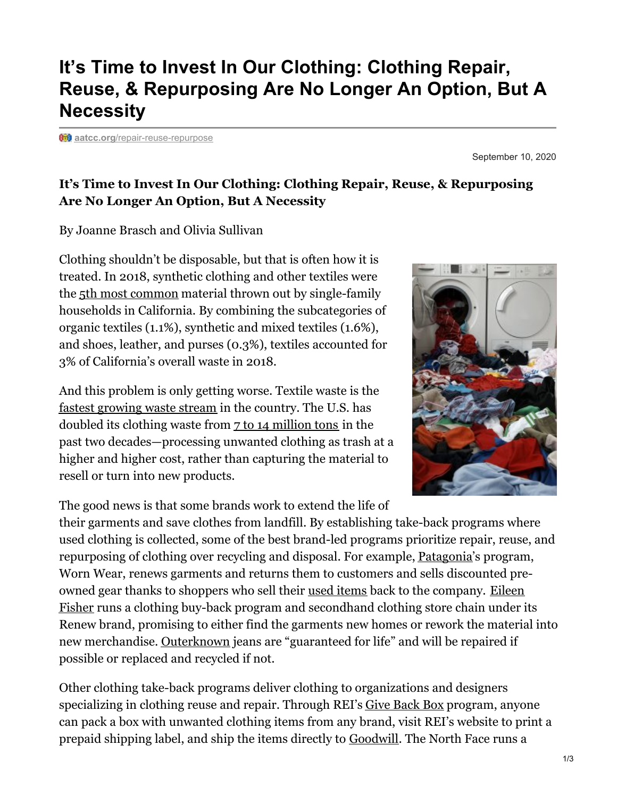## **It's Time to Invest In Our Clothing: Clothing Repair, Reuse, & Repurposing Are No Longer An Option, But A Necessity**

**ability** aatcc.org[/repair-reuse-repurpose](https://www.aatcc.org/repair-reuse-repurpose/)

September 10, 2020

## **It's Time to Invest In Our Clothing: Clothing Repair, Reuse, & Repurposing Are No Longer An Option, But A Necessity**

By Joanne Brasch and Olivia Sullivan

Clothing shouldn't be disposable, but that is often how it is treated. In 2018, synthetic clothing and other textiles were the 5th most [common](https://www2.calrecycle.ca.gov/Publications/Details/1666) material thrown out by single-family households in California. By combining the subcategories of organic textiles (1.1%), synthetic and mixed textiles (1.6%), and shoes, leather, and purses (0.3%), textiles accounted for 3% of California's overall waste in 2018.

And this problem is only getting worse. Textile waste is the fastest [growing](https://recycle.com/white-paper-textile-recovery-in-the-us/) waste stream in the country. The U.S. has doubled its clothing waste from 7 to 14 [million](https://www.newsweek.com/2016/09/09/old-clothes-fashion-waste-crisis-494824.html) tons in the past two decades—processing unwanted clothing as trash at a higher and higher cost, rather than capturing the material to resell or turn into new products.

The good news is that some brands work to extend the life of

their garments and save clothes from landfill. By establishing take-back programs where used clothing is collected, some of the best brand-led programs prioritize repair, reuse, and repurposing of clothing over recycling and disposal. For example, [Patagonia'](https://www.washingtonpost.com/business/inside-patagonias-operation-to-keep-you-from-buying-new-gear/2018/08/31/d3d1fab4-ac8c-11e8-b1da-ff7faa680710_story.html?utm_term=.145616d05f25&itid=lk_interstitial_manual_29)s program, Worn Wear, renews garments and returns them to customers and sells discounted preowned gear thanks to shoppers who sell their used [items](https://www.washingtonpost.com/business/economy/eileen-fisher-wants-those-clothes-back-when-youre-done/2018/08/31/cd873aea-ac58-11e8-b1da-ff7faa680710_story.html) back to the company. Eileen Fisher runs a clothing buy-back program and [secondhand](https://www.washingtonpost.com/business/economy/eileen-fisher-wants-those-clothes-back-when-youre-done/2018/08/31/cd873aea-ac58-11e8-b1da-ff7faa680710_story.html) clothing store chain under its Renew brand, promising to either find the garments new homes or rework the material into new merchandise. [Outerknown](https://www.outerknown.com/pages/sustainability) jeans are "guaranteed for life" and will be repaired if possible or replaced and recycled if not.

Other clothing take-back programs deliver clothing to organizations and designers specializing in clothing reuse and repair. Through REI's Give [Back](https://www.rei.com/stewardship/give-back-box) Box program, anyone can pack a box with unwanted clothing items from any brand, visit REI's website to print a prepaid shipping label, and ship the items directly to [Goodwill](https://www.rei.com/blog/stewardship/rei-goodwill-collect-gear-donations-using-give-back-box). The North Face runs a

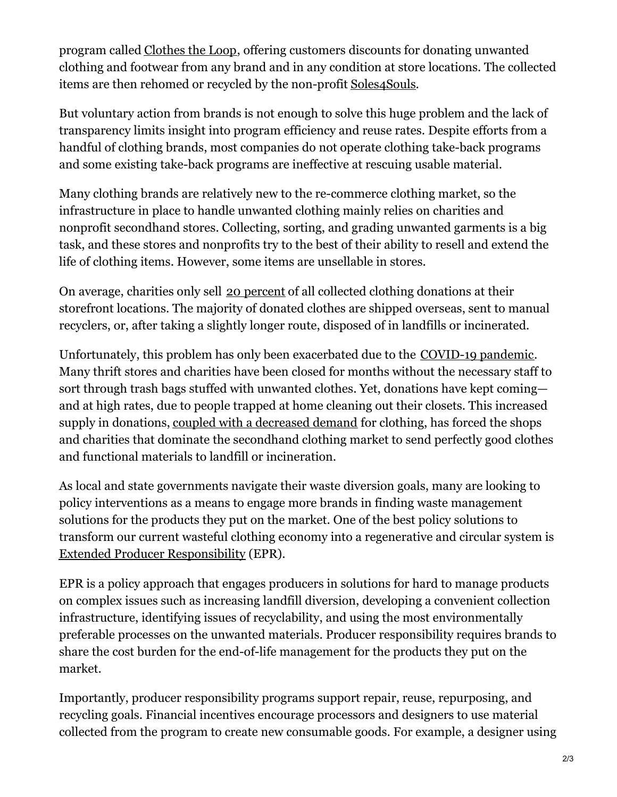program called [Clothes](https://www.thenorthface.com/about-us/responsibility/product/clothes-the-loop.html) the Loop, offering customers discounts for donating unwanted clothing and footwear from any brand and in any condition at store locations. The collected items are then rehomed or recycled by the non-profit [Soles4Souls](https://soles4souls.org/).

But voluntary action from brands is not enough to solve this huge problem and the lack of transparency limits insight into program efficiency and reuse rates. Despite efforts from a handful of clothing brands, most companies do not operate clothing take-back programs and some existing take-back programs are ineffective at rescuing usable material.

Many clothing brands are relatively new to the re-commerce clothing market, so the infrastructure in place to handle unwanted clothing mainly relies on charities and nonprofit secondhand stores. Collecting, sorting, and grading unwanted garments is a big task, and these stores and nonprofits try to the best of their ability to resell and extend the life of clothing items. However, some items are unsellable in stores.

On average, charities only sell [20](https://recycle.com/white-paper-textile-recovery-in-the-us/) [percent](https://recycle.com/white-paper-textile-recovery-in-the-us/) of all collected clothing donations at their storefront locations. The majority of donated clothes are shipped overseas, sent to manual recyclers, or, after taking a slightly longer route, disposed of in landfills or incinerated.

Unfortunately, this problem has only been exacerbated due to the [COVID-19](https://www.bloomberg.com/opinion/articles/2020-04-30/at-overloaded-thrift-shops-coronavirus-is-wreaking-havoc?sref=2o0rZsF1) pandemic. Many thrift stores and charities have been closed for months without the necessary staff to sort through trash bags stuffed with unwanted clothes. Yet, donations have kept coming and at high rates, due to people trapped at home cleaning out their closets. This increased supply in donations, coupled with a [decreased](https://www.bloomberg.com/opinion/articles/2020-04-30/at-overloaded-thrift-shops-coronavirus-is-wreaking-havoc?sref=2o0rZsF1) demand for clothing, has forced the shops and charities that dominate the secondhand clothing market to send perfectly good clothes and functional materials to landfill or incineration.

As local and state governments navigate their waste diversion goals, many are looking to policy interventions as a means to engage more brands in finding waste management solutions for the products they put on the market. One of the best policy solutions to transform our current wasteful clothing economy into a regenerative and circular system is Extended Producer [Responsibility](https://www.oecd.org/env/tools-evaluation/extendedproducerresponsibility.htm) (EPR).

EPR is a policy approach that engages producers in solutions for hard to manage products on complex issues such as increasing landfill diversion, developing a convenient collection infrastructure, identifying issues of recyclability, and using the most environmentally preferable processes on the unwanted materials. Producer responsibility requires brands to share the cost burden for the end-of-life management for the products they put on the market.

Importantly, producer responsibility programs support repair, reuse, repurposing, and recycling goals. Financial incentives encourage processors and designers to use material collected from the program to create new consumable goods. For example, a designer using